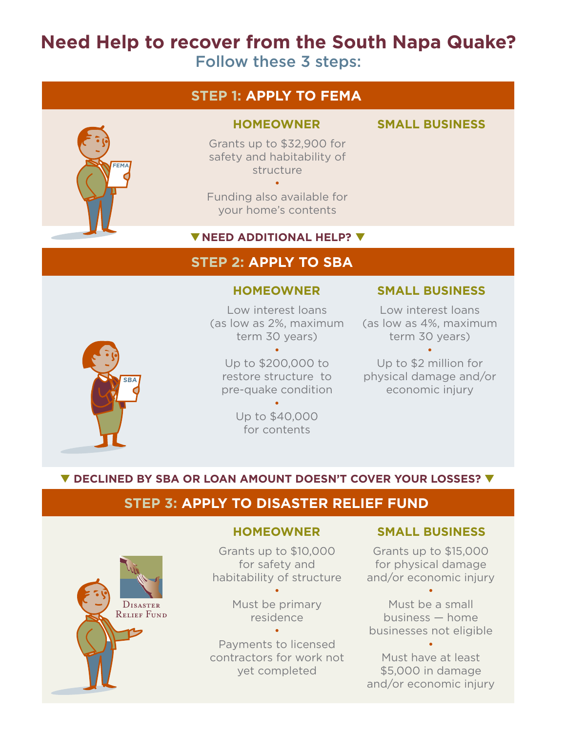# **Need Help to recover from the South Napa Quake?**

Follow these 3 steps:

# **STEP 1: APPLY TO FEMA**



### **HOMEOWNER SMALL BUSINESS**

Grants up to \$32,900 for safety and habitability of structure •

Funding also available for your home's contents

## ▼ NEED ADDITIONAL HELP? ▼

# **STEP 2: APPLY TO SBA**

Low interest loans (as low as 2%, maximum term 30 years)

• Up to \$200,000 to restore structure to pre-quake condition

> Up to \$40,000 for contents

•

## **HOMEOWNER SMALL BUSINESS**

Low interest loans (as low as 4%, maximum term 30 years)

• Up to \$2 million for physical damage and/or economic injury

## ▼ DECLINED BY SBA OR LOAN AMOUNT DOESN'T COVER YOUR LOSSES? ▼

# **STEP 3: APPLY TO DISASTER RELIEF FUND**



**SBA**

Grants up to \$10,000 for safety and habitability of structure

•

Must be primary residence •

Payments to licensed contractors for work not yet completed

## **HOMEOWNER SMALL BUSINESS**

Grants up to \$15,000 for physical damage and/or economic injury

Must be a small business — home businesses not eligible

•

•

Must have at least \$5,000 in damage and/or economic injury